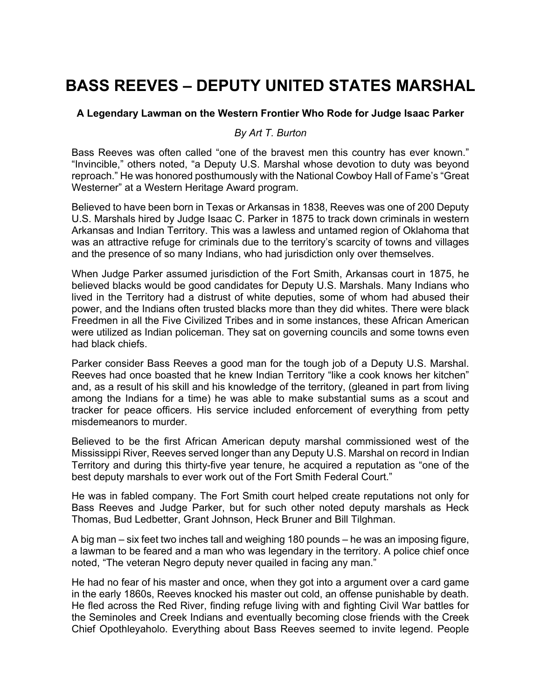## **BASS REEVES – DEPUTY UNITED STATES MARSHAL**

## **A Legendary Lawman on the Western Frontier Who Rode for Judge Isaac Parker**

## *By Art T. Burton*

Bass Reeves was often called "one of the bravest men this country has ever known." "Invincible," others noted, "a Deputy U.S. Marshal whose devotion to duty was beyond reproach." He was honored posthumously with the National Cowboy Hall of Fame's "Great Westerner" at a Western Heritage Award program.

Believed to have been born in Texas or Arkansas in 1838, Reeves was one of 200 Deputy U.S. Marshals hired by Judge Isaac C. Parker in 1875 to track down criminals in western Arkansas and Indian Territory. This was a lawless and untamed region of Oklahoma that was an attractive refuge for criminals due to the territory's scarcity of towns and villages and the presence of so many Indians, who had jurisdiction only over themselves.

When Judge Parker assumed jurisdiction of the Fort Smith, Arkansas court in 1875, he believed blacks would be good candidates for Deputy U.S. Marshals. Many Indians who lived in the Territory had a distrust of white deputies, some of whom had abused their power, and the Indians often trusted blacks more than they did whites. There were black Freedmen in all the Five Civilized Tribes and in some instances, these African American were utilized as Indian policeman. They sat on governing councils and some towns even had black chiefs.

Parker consider Bass Reeves a good man for the tough job of a Deputy U.S. Marshal. Reeves had once boasted that he knew Indian Territory "like a cook knows her kitchen" and, as a result of his skill and his knowledge of the territory, (gleaned in part from living among the Indians for a time) he was able to make substantial sums as a scout and tracker for peace officers. His service included enforcement of everything from petty misdemeanors to murder.

Believed to be the first African American deputy marshal commissioned west of the Mississippi River, Reeves served longer than any Deputy U.S. Marshal on record in Indian Territory and during this thirty-five year tenure, he acquired a reputation as "one of the best deputy marshals to ever work out of the Fort Smith Federal Court."

He was in fabled company. The Fort Smith court helped create reputations not only for Bass Reeves and Judge Parker, but for such other noted deputy marshals as Heck Thomas, Bud Ledbetter, Grant Johnson, Heck Bruner and Bill Tilghman.

A big man – six feet two inches tall and weighing 180 pounds – he was an imposing figure, a lawman to be feared and a man who was legendary in the territory. A police chief once noted, "The veteran Negro deputy never quailed in facing any man."

He had no fear of his master and once, when they got into a argument over a card game in the early 1860s, Reeves knocked his master out cold, an offense punishable by death. He fled across the Red River, finding refuge living with and fighting Civil War battles for the Seminoles and Creek Indians and eventually becoming close friends with the Creek Chief Opothleyaholo. Everything about Bass Reeves seemed to invite legend. People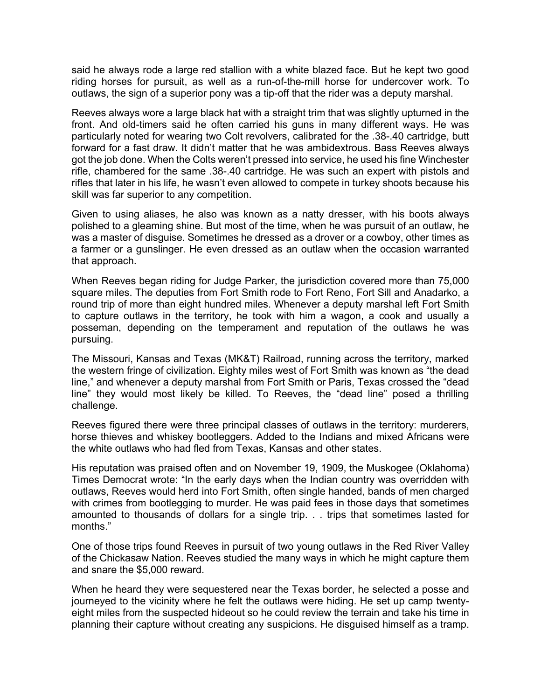said he always rode a large red stallion with a white blazed face. But he kept two good riding horses for pursuit, as well as a run-of-the-mill horse for undercover work. To outlaws, the sign of a superior pony was a tip-off that the rider was a deputy marshal.

Reeves always wore a large black hat with a straight trim that was slightly upturned in the front. And old-timers said he often carried his guns in many different ways. He was particularly noted for wearing two Colt revolvers, calibrated for the .38-.40 cartridge, butt forward for a fast draw. It didn't matter that he was ambidextrous. Bass Reeves always got the job done. When the Colts weren't pressed into service, he used his fine Winchester rifle, chambered for the same .38-.40 cartridge. He was such an expert with pistols and rifles that later in his life, he wasn't even allowed to compete in turkey shoots because his skill was far superior to any competition.

Given to using aliases, he also was known as a natty dresser, with his boots always polished to a gleaming shine. But most of the time, when he was pursuit of an outlaw, he was a master of disguise. Sometimes he dressed as a drover or a cowboy, other times as a farmer or a gunslinger. He even dressed as an outlaw when the occasion warranted that approach.

When Reeves began riding for Judge Parker, the jurisdiction covered more than 75,000 square miles. The deputies from Fort Smith rode to Fort Reno, Fort Sill and Anadarko, a round trip of more than eight hundred miles. Whenever a deputy marshal left Fort Smith to capture outlaws in the territory, he took with him a wagon, a cook and usually a posseman, depending on the temperament and reputation of the outlaws he was pursuing.

The Missouri, Kansas and Texas (MK&T) Railroad, running across the territory, marked the western fringe of civilization. Eighty miles west of Fort Smith was known as "the dead line," and whenever a deputy marshal from Fort Smith or Paris, Texas crossed the "dead line" they would most likely be killed. To Reeves, the "dead line" posed a thrilling challenge.

Reeves figured there were three principal classes of outlaws in the territory: murderers, horse thieves and whiskey bootleggers. Added to the Indians and mixed Africans were the white outlaws who had fled from Texas, Kansas and other states.

His reputation was praised often and on November 19, 1909, the Muskogee (Oklahoma) Times Democrat wrote: "In the early days when the Indian country was overridden with outlaws, Reeves would herd into Fort Smith, often single handed, bands of men charged with crimes from bootlegging to murder. He was paid fees in those days that sometimes amounted to thousands of dollars for a single trip. . . trips that sometimes lasted for months."

One of those trips found Reeves in pursuit of two young outlaws in the Red River Valley of the Chickasaw Nation. Reeves studied the many ways in which he might capture them and snare the \$5,000 reward.

When he heard they were sequestered near the Texas border, he selected a posse and journeyed to the vicinity where he felt the outlaws were hiding. He set up camp twentyeight miles from the suspected hideout so he could review the terrain and take his time in planning their capture without creating any suspicions. He disguised himself as a tramp.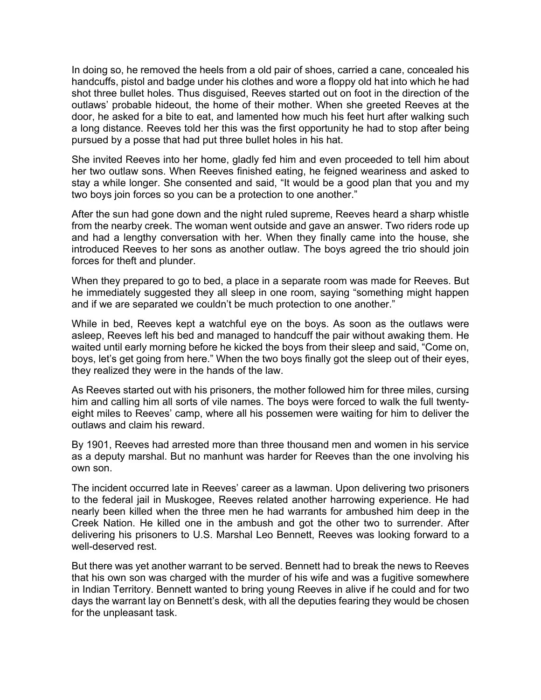In doing so, he removed the heels from a old pair of shoes, carried a cane, concealed his handcuffs, pistol and badge under his clothes and wore a floppy old hat into which he had shot three bullet holes. Thus disguised, Reeves started out on foot in the direction of the outlaws' probable hideout, the home of their mother. When she greeted Reeves at the door, he asked for a bite to eat, and lamented how much his feet hurt after walking such a long distance. Reeves told her this was the first opportunity he had to stop after being pursued by a posse that had put three bullet holes in his hat.

She invited Reeves into her home, gladly fed him and even proceeded to tell him about her two outlaw sons. When Reeves finished eating, he feigned weariness and asked to stay a while longer. She consented and said, "It would be a good plan that you and my two boys join forces so you can be a protection to one another."

After the sun had gone down and the night ruled supreme, Reeves heard a sharp whistle from the nearby creek. The woman went outside and gave an answer. Two riders rode up and had a lengthy conversation with her. When they finally came into the house, she introduced Reeves to her sons as another outlaw. The boys agreed the trio should join forces for theft and plunder.

When they prepared to go to bed, a place in a separate room was made for Reeves. But he immediately suggested they all sleep in one room, saying "something might happen and if we are separated we couldn't be much protection to one another."

While in bed, Reeves kept a watchful eye on the boys. As soon as the outlaws were asleep, Reeves left his bed and managed to handcuff the pair without awaking them. He waited until early morning before he kicked the boys from their sleep and said, "Come on, boys, let's get going from here." When the two boys finally got the sleep out of their eyes, they realized they were in the hands of the law.

As Reeves started out with his prisoners, the mother followed him for three miles, cursing him and calling him all sorts of vile names. The boys were forced to walk the full twentyeight miles to Reeves' camp, where all his possemen were waiting for him to deliver the outlaws and claim his reward.

By 1901, Reeves had arrested more than three thousand men and women in his service as a deputy marshal. But no manhunt was harder for Reeves than the one involving his own son.

The incident occurred late in Reeves' career as a lawman. Upon delivering two prisoners to the federal jail in Muskogee, Reeves related another harrowing experience. He had nearly been killed when the three men he had warrants for ambushed him deep in the Creek Nation. He killed one in the ambush and got the other two to surrender. After delivering his prisoners to U.S. Marshal Leo Bennett, Reeves was looking forward to a well-deserved rest.

But there was yet another warrant to be served. Bennett had to break the news to Reeves that his own son was charged with the murder of his wife and was a fugitive somewhere in Indian Territory. Bennett wanted to bring young Reeves in alive if he could and for two days the warrant lay on Bennett's desk, with all the deputies fearing they would be chosen for the unpleasant task.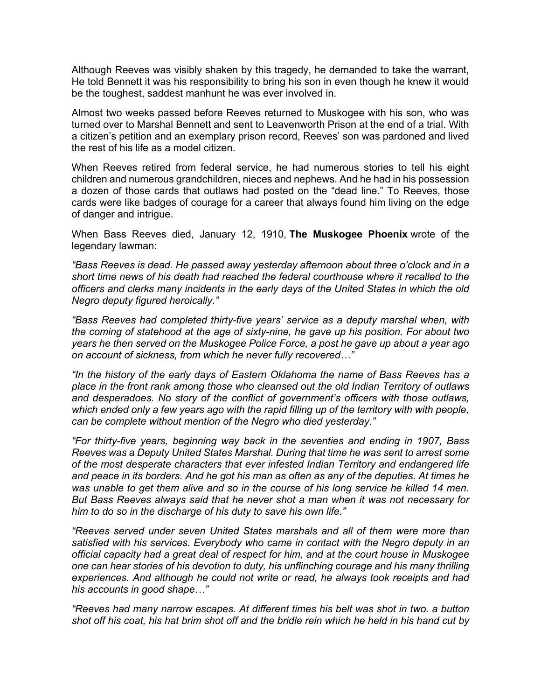Although Reeves was visibly shaken by this tragedy, he demanded to take the warrant, He told Bennett it was his responsibility to bring his son in even though he knew it would be the toughest, saddest manhunt he was ever involved in.

Almost two weeks passed before Reeves returned to Muskogee with his son, who was turned over to Marshal Bennett and sent to Leavenworth Prison at the end of a trial. With a citizen's petition and an exemplary prison record, Reeves' son was pardoned and lived the rest of his life as a model citizen.

When Reeves retired from federal service, he had numerous stories to tell his eight children and numerous grandchildren, nieces and nephews. And he had in his possession a dozen of those cards that outlaws had posted on the "dead line." To Reeves, those cards were like badges of courage for a career that always found him living on the edge of danger and intrigue.

When Bass Reeves died, January 12, 1910, **The Muskogee Phoenix** wrote of the legendary lawman:

*"Bass Reeves is dead. He passed away yesterday afternoon about three o'clock and in a short time news of his death had reached the federal courthouse where it recalled to the officers and clerks many incidents in the early days of the United States in which the old Negro deputy figured heroically."*

*"Bass Reeves had completed thirty-five years' service as a deputy marshal when, with the coming of statehood at the age of sixty-nine, he gave up his position. For about two years he then served on the Muskogee Police Force, a post he gave up about a year ago on account of sickness, from which he never fully recovered…"*

*"In the history of the early days of Eastern Oklahoma the name of Bass Reeves has a place in the front rank among those who cleansed out the old Indian Territory of outlaws and desperadoes. No story of the conflict of government's officers with those outlaws,*  which ended only a few years ago with the rapid filling up of the territory with with people, *can be complete without mention of the Negro who died yesterday."*

*"For thirty-five years, beginning way back in the seventies and ending in 1907, Bass Reeves was a Deputy United States Marshal. During that time he was sent to arrest some of the most desperate characters that ever infested Indian Territory and endangered life and peace in its borders. And he got his man as often as any of the deputies. At times he*  was unable to get them alive and so in the course of his long service he killed 14 men. *But Bass Reeves always said that he never shot a man when it was not necessary for him to do so in the discharge of his duty to save his own life."*

*"Reeves served under seven United States marshals and all of them were more than satisfied with his services. Everybody who came in contact with the Negro deputy in an official capacity had a great deal of respect for him, and at the court house in Muskogee one can hear stories of his devotion to duty, his unflinching courage and his many thrilling experiences. And although he could not write or read, he always took receipts and had his accounts in good shape…"*

*"Reeves had many narrow escapes. At different times his belt was shot in two. a button shot off his coat, his hat brim shot off and the bridle rein which he held in his hand cut by*